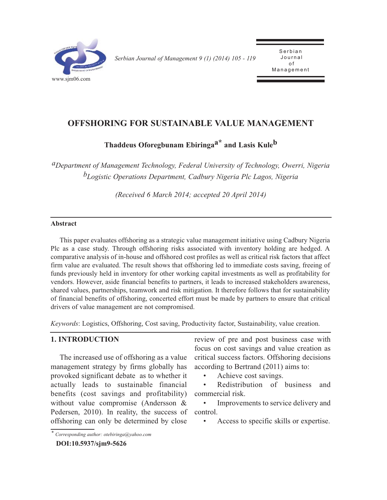

*Serbian Journal of Management 9 (1) (2014) 105 - 119* 

Serbian<br>Journal o f .<br>مد Management

# **OFFSHORING FOR SUSTAINABLE VALUE MANAGEMENT**

**Thaddeus Oforegbunam Ebiringaa\* and Lasis Kuleb**

*aDepartment of Management Technology, Federal University of Technology, Owerri, Nigeria bLogistic Operations Department, Cadbury Nigeria Plc Lagos, Nigeria*

*(Received 6 March 2014; accepted 20 April 2014)*

### **Abstract**

This paper evaluates offshoring as a strategic value management initiative using Cadbury Nigeria Plc as a case study. Through offshoring risks associated with inventory holding are hedged. A comparative analysis of in-house and offshored cost profiles as well as critical risk factors that affect firm value are evaluated. The result shows that offshoring led to immediate costs saving, freeing of funds previously held in inventory for other working capital investments as well as profitability for vendors. However, aside financial benefits to partners, it leads to increased stakeholders awareness, shared values, partnerships, teamwork and risk mitigation. It therefore follows that for sustainability of financial benefits of offshoring, concerted effort must be made by partners to ensure that critical drivers of value management are not compromised.

*Keywords*: Logistics, Offshoring, Cost saving, Productivity factor, Sustainability, value creation.

### **1. INTRODUCTION**

The increased use of offshoring as a value management strategy by firms globally has provoked significant debate as to whether it actually leads to sustainable financial benefits (cost savings and profitability) without value compromise (Andersson & Pedersen, 2010). In reality, the success of offshoring can only be determined by close

review of pre and post business case with focus on cost savings and value creation as critical success factors. Offshoring decisions according to Bertrand (2011) aims to:

• Achieve cost savings.

Redistribution of business and commercial risk.

Improvements to service delivery and control.

• Access to specific skills or expertise.

*<sup>\*</sup> Corresponding author: otebiringa@yahoo.com*

**DOI:10.5937/sjm9-5626**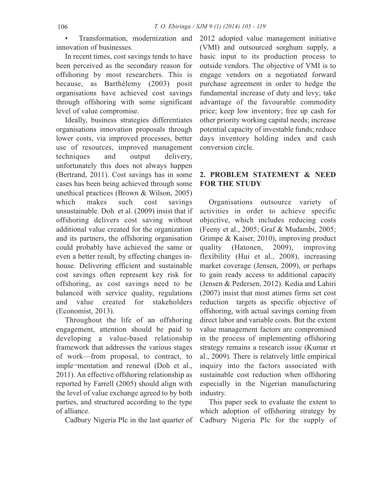• Transformation, modernization and innovation of businesses.

In recent times, cost savings tends to have been perceived as the secondary reason for offshoring by most researchers. This is because, as Barthélemy (2003) posit organisations have achieved cost savings through offshoring with some significant level of value compromise.

Ideally, business strategies differentiates organisations innovation proposals through lower costs, via improved processes, better use of resources, improved management techniques and output delivery, unfortunately this does not always happen (Bertrand, 2011). Cost savings has in some cases has been being achieved through some unethical practices (Brown & Wilson, 2005) which makes such cost savings unsustainable. Doh et al. (2009) insist that if offshoring delivers cost saving without additional value created for the organization and its partners, the offshoring organisation could probably have achieved the same or even a better result, by effecting changes inhouse. Delivering efficient and sustainable cost savings often represent key risk for offshoring, as cost savings need to be balanced with service quality, regulations and value created for stakeholders (Economist, 2013).

Throughout the life of an offshoring engagement, attention should be paid to developing a value-based relationship framework that addresses the various stages of work—from proposal, to contract, to imple¬mentation and renewal (Doh et al., 2011). An effective offshoring relationship as reported by Farrell (2005) should align with the level of value exchange agreed to by both parties, and structured according to the type of alliance.

Cadbury Nigeria Plc in the last quarter of Cadbury Nigeria Plc for the supply of

2012 adopted value management initiative (VMI) and outsourced sorghum supply, a basic input to its production process to outside vendors. The objective of VMI is to engage vendors on a negotiated forward purchase agreement in order to hedge the fundamental increase of duty and levy; take advantage of the favourable commodity price; keep low inventory; free up cash for other priority working capital needs; increase potential capacity of investable funds; reduce days inventory holding index and cash conversion circle.

### **2. PROBLEM STATEMENT & NEED FOR THE STUDY**

Organisations outsource variety of activities in order to achieve specific objective, which includes reducing costs (Feeny et al., 2005; Graf & Mudambi, 2005; Grimpe & Kaiser, 2010), improving product quality (Hatonen, 2009), improving flexibility (Hui et al., 2008), increasing market coverage (Jensen, 2009), or perhaps to gain ready access to additional capacity (Jensen & Pedersen, 2012). Kedia and Lahiri (2007) insist that most atimes firms set cost reduction targets as specific objective of offshoring, with actual savings coming from direct labor and variable costs. But the extent value management factors are compromised in the process of implementing offshoring strategy remains a research issue (Kumar et al., 2009). There is relatively little empirical inquiry into the factors associated with sustainable cost reduction when offshoring especially in the Nigerian manufacturing industry.

This paper seek to evaluate the extent to which adoption of offshoring strategy by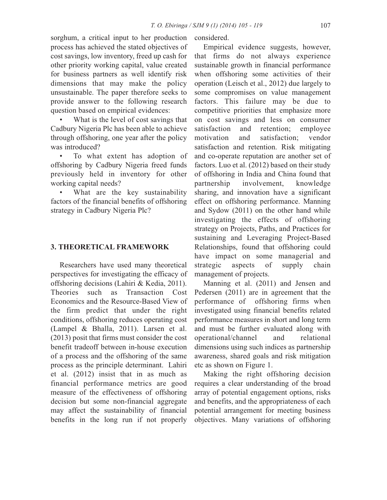sorghum, a critical input to her production process has achieved the stated objectives of cost savings, low inventory, freed up cash for other priority working capital, value created for business partners as well identify risk dimensions that may make the policy unsustainable. The paper therefore seeks to provide answer to the following research question based on empirical evidences:

What is the level of cost savings that Cadbury Nigeria Plc has been able to achieve through offshoring, one year after the policy was introduced?

To what extent has adoption of offshoring by Cadbury Nigeria freed funds previously held in inventory for other working capital needs?

• What are the key sustainability factors of the financial benefits of offshoring strategy in Cadbury Nigeria Plc?

### **3. THEORETICAL FRAMEWORK**

Researchers have used many theoretical perspectives for investigating the efficacy of offshoring decisions (Lahiri & Kedia, 2011). Theories such as Transaction Cost Economics and the Resource-Based View of the firm predict that under the right conditions, offshoring reduces operating cost (Lampel & Bhalla, 2011). Larsen et al. (2013) posit that firms must consider the cost benefit tradeoff between in-house execution of a process and the offshoring of the same process as the principle determinant. Lahiri et al. (2012) insist that in as much as financial performance metrics are good measure of the effectiveness of offshoring decision but some non-financial aggregate may affect the sustainability of financial benefits in the long run if not properly considered.

Empirical evidence suggests, however, that firms do not always experience sustainable growth in financial performance when offshoring some activities of their operation (Leisch et al., 2012) due largely to some compromises on value management factors. This failure may be due to competitive priorities that emphasize more on cost savings and less on consumer satisfaction and retention; employee motivation and satisfaction; vendor satisfaction and retention. Risk mitigating and co-operate reputation are another set of factors. Luo et al. (2012) based on their study of offshoring in India and China found that partnership involvement, knowledge sharing, and innovation have a significant effect on offshoring performance. Manning and Sydow (2011) on the other hand while investigating the effects of offshoring strategy on Projects, Paths, and Practices for sustaining and Leveraging Project-Based Relationships, found that offshoring could have impact on some managerial and strategic aspects of supply chain management of projects.

Manning et al. (2011) and Jensen and Pedersen (2011) are in agreement that the performance of offshoring firms when investigated using financial benefits related performance measures in short and long term and must be further evaluated along with operational/channel and relational dimensions using such indices as partnership awareness, shared goals and risk mitigation etc as shown on Figure 1.

Making the right offshoring decision requires a clear understanding of the broad array of potential engagement options, risks and benefits, and the appropriateness of each potential arrangement for meeting business objectives. Many variations of offshoring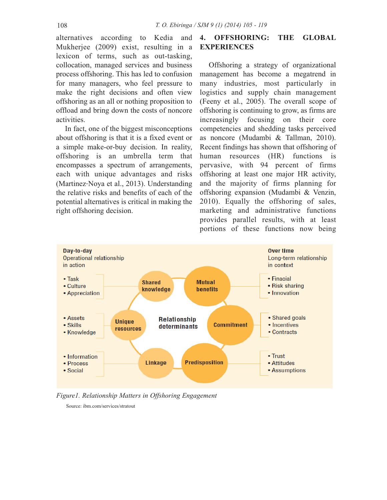alternatives according to Kedia and Mukherjee (2009) exist, resulting in a lexicon of terms, such as out-tasking, collocation, managed services and business process offshoring. This has led to confusion for many managers, who feel pressure to make the right decisions and often view offshoring as an all or nothing proposition to offload and bring down the costs of noncore activities.

In fact, one of the biggest misconceptions about offshoring is that it is a fixed event or a simple make-or-buy decision. In reality, offshoring is an umbrella term that encompasses a spectrum of arrangements, each with unique advantages and risks (Martinez-Noya et al., 2013). Understanding the relative risks and benefits of each of the potential alternatives is critical in making the right offshoring decision.

## **4. OFFSHORING: THE GLOBAL EXPERIENCES**

Offshoring a strategy of organizational management has become a megatrend in many industries, most particularly in logistics and supply chain management (Feeny et al., 2005). The overall scope of offshoring is continuing to grow, as firms are increasingly focusing on their core competencies and shedding tasks perceived as noncore (Mudambi & Tallman, 2010). Recent findings has shown that offshoring of human resources (HR) functions is pervasive, with 94 percent of firms offshoring at least one major HR activity, and the majority of firms planning for offshoring expansion (Mudambi & Venzin, 2010). Equally the offshoring of sales, marketing and administrative functions provides parallel results, with at least portions of these functions now being



*Figure1. Relationship Matters in Offshoring Engagement*

Source: ibm.com/services/stratout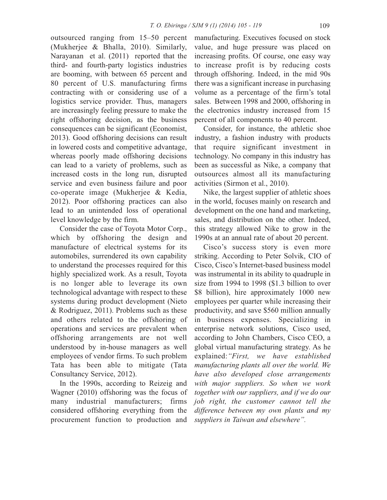outsourced ranging from 15–50 percent (Mukherjee & Bhalla, 2010). Similarly, Narayanan et al. (2011) reported that the third- and fourth-party logistics industries are booming, with between 65 percent and 80 percent of U.S. manufacturing firms contracting with or considering use of a logistics service provider. Thus, managers are increasingly feeling pressure to make the right offshoring decision, as the business consequences can be significant (Economist, 2013). Good offshoring decisions can result in lowered costs and competitive advantage, whereas poorly made offshoring decisions can lead to a variety of problems, such as increased costs in the long run, disrupted service and even business failure and poor co-operate image (Mukherjee & Kedia, 2012). Poor offshoring practices can also lead to an unintended loss of operational level knowledge by the firm.

Consider the case of Toyota Motor Corp., which by offshoring the design and manufacture of electrical systems for its automobiles, surrendered its own capability to understand the processes required for this highly specialized work. As a result, Toyota is no longer able to leverage its own technological advantage with respect to these systems during product development (Nieto & Rodriguez, 2011). Problems such as these and others related to the offshoring of operations and services are prevalent when offshoring arrangements are not well understood by in-house managers as well employees of vendor firms. To such problem Tata has been able to mitigate (Tata Consultancy Service, 2012).

In the 1990s, according to Reizeig and Wagner (2010) offshoring was the focus of many industrial manufacturers; firms considered offshoring everything from the procurement function to production and manufacturing. Executives focused on stock value, and huge pressure was placed on increasing profits. Of course, one easy way to increase profit is by reducing costs through offshoring. Indeed, in the mid 90s there was a significant increase in purchasing volume as a percentage of the firm's total sales. Between 1998 and 2000, offshoring in the electronics industry increased from 15 percent of all components to 40 percent.

Consider, for instance, the athletic shoe industry, a fashion industry with products that require significant investment in technology. No company in this industry has been as successful as Nike, a company that outsources almost all its manufacturing activities (Sirmon et al., 2010).

Nike, the largest supplier of athletic shoes in the world, focuses mainly on research and development on the one hand and marketing, sales, and distribution on the other. Indeed, this strategy allowed Nike to grow in the 1990s at an annual rate of about 20 percent.

Cisco's success story is even more striking. According to Peter Solvik, CIO of Cisco, Cisco's Internet-based business model was instrumental in its ability to quadruple in size from 1994 to 1998 (\$1.3 billion to over \$8 billion), hire approximately 1000 new employees per quarter while increasing their productivity, and save \$560 million annually in business expenses. Specializing in enterprise network solutions, Cisco used, according to John Chambers, Cisco CEO, a global virtual manufacturing strategy. As he explained:*"First, we have established manufacturing plants all over the world. We have also developed close arrangements with major suppliers. So when we work together with our suppliers, and if we do our job right, the customer cannot tell the difference between my own plants and my suppliers in Taiwan and elsewhere".*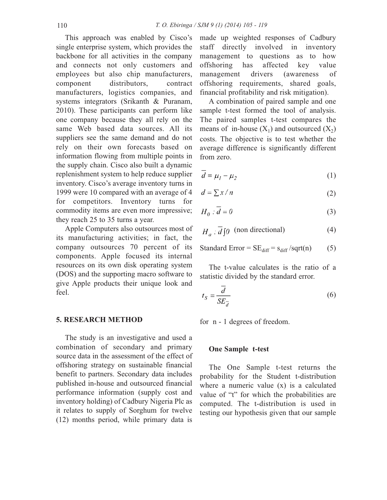This approach was enabled by Cisco's single enterprise system, which provides the backbone for all activities in the company and connects not only customers and employees but also chip manufacturers, component distributors, contract manufacturers, logistics companies, and systems integrators (Srikanth & Puranam, 2010). These participants can perform like one company because they all rely on the same Web based data sources. All its suppliers see the same demand and do not rely on their own forecasts based on information flowing from multiple points in the supply chain. Cisco also built a dynamic replenishment system to help reduce supplier inventory. Cisco's average inventory turns in 1999 were 10 compared with an average of 4 for competitors. Inventory turns for commodity items are even more impressive; they reach 25 to 35 turns a year.

Apple Computers also outsources most of its manufacturing activities; in fact, the company outsources 70 percent of its components. Apple focused its internal resources on its own disk operating system (DOS) and the supporting macro software to give Apple products their unique look and feel.

### **5. RESEARCH METHOD**

The study is an investigative and used a combination of secondary and primary source data in the assessment of the effect of offshoring strategy on sustainable financial benefit to partners. Secondary data includes published in-house and outsourced financial performance information (supply cost and inventory holding) of Cadbury Nigeria Plc as it relates to supply of Sorghum for twelve (12) months period, while primary data is

made up weighted responses of Cadbury staff directly involved in inventory management to questions as to how offshoring has affected key value management drivers (awareness of offshoring requirements, shared goals, financial profitability and risk mitigation).

A combination of paired sample and one sample t-test formed the tool of analysis. The paired samples t-test compares the means of in-house  $(X_1)$  and outsourced  $(X_2)$ costs. The objective is to test whether the average difference is significantly different from zero.

$$
\overline{d} = \mu_1 - \mu_2 \tag{1}
$$

$$
d = \sum x / n \tag{2}
$$

$$
H_0: \overline{d} = 0 \tag{3}
$$

$$
H_a: \overline{d} \, \text{[0 (non directional))} \tag{4}
$$

Standard Error = 
$$
SE_{diff} = s_{diff} / sqrt(n)
$$
 (5)

The t-value calculates is the ratio of a statistic divided by the standard error.

$$
t_S = \frac{\overline{d}}{SE_{\overline{d}}}
$$
 (6)

for n - 1 degrees of freedom.

#### **One Sample t-test**

The One Sample t-test returns the probability for the Student t-distribution where a numeric value (x) is a calculated value of "t" for which the probabilities are computed. The t-distribution is used in testing our hypothesis given that our sample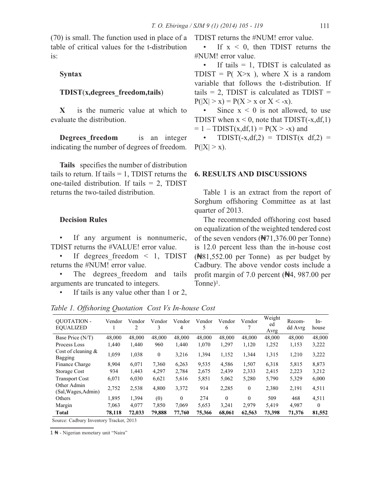(70) is small. The function used in place of a table of critical values for the t-distribution is:

### **Syntax**

#### **TDIST**(**x,degrees\_freedom,tails**)

**X** is the numeric value at which to evaluate the distribution.

**Degrees freedom** is an integer indicating the number of degrees of freedom.

**Tails** specifies the number of distribution tails to return. If tails  $= 1$ , TDIST returns the one-tailed distribution. If tails = 2, TDIST returns the two-tailed distribution.

#### **Decision Rules**

• If any argument is nonnumeric, TDIST returns the #VALUE! error value.

• If degrees freedom  $\leq$  1, TDIST returns the #NUM! error value.

The degrees freedom and tails arguments are truncated to integers.

If tails is any value other than 1 or 2,

TDIST returns the #NUM! error value.

If  $x < 0$ , then TDIST returns the #NUM! error value.

• If tails  $= 1$ , TDIST is calculated as TDIST =  $P(X \geq x)$ , where X is a random variable that follows the t-distribution. If tails = 2, TDIST is calculated as  $TDIST =$  $P(|X| > x) = P(X > x \text{ or } X < -x)$ .

Since  $x < 0$  is not allowed, to use TDIST when  $x < 0$ , note that TDIST(-x,df,1)  $= 1 - TDIST(x, df, 1) = P(X > -x)$  and

 $TDIST(-x, df, 2) = TDIST(x, df, 2) =$  $P(|X| > x)$ .

### **6. RESULTS AND DISCUSSIONS**

Table 1 is an extract from the report of Sorghum offshoring Committee as at last quarter of 2013.

The recommended offshoring cost based on equalization of the weighted tendered cost of the seven vendors (₦71,376.00 per Tonne) is 12.0 percent less than the in-house cost (₦81,552.00 per Tonne) as per budget by Cadbury. The above vendor costs include a profit margin of 7.0 percent (₦4, 987.00 per Tonne)1.

*Table 1. Offshoring Quotation Cost Vs In-house Cost*

| <b>OUOTATION -</b><br><b>EOUALIZED</b> | Vendor | Vendor<br>2 | Vendor<br>3  | Vendor<br>4 | Vendor<br>5 | Vendor<br>6 | Vendor<br>7 | Weight<br>ed<br>Avrg | Recom-<br>dd Avrg | $In-$<br>house |
|----------------------------------------|--------|-------------|--------------|-------------|-------------|-------------|-------------|----------------------|-------------------|----------------|
| Base Price (N/T)                       | 48,000 | 48,000      | 48,000       | 48,000      | 48,000      | 48,000      | 48,000      | 48,000               | 48,000            | 48,000         |
| Process Loss                           | 1.440  | 1,440       | 960          | 1,440       | 1,070       | 1,297       | 1,120       | 1,252                | 1,153             | 3,222          |
| Cost of cleaning $\&$<br>Bagging       | 1,059  | 1,038       | $\mathbf{0}$ | 3,216       | 1,394       | 1,152       | 1,344       | 1,315                | 1,210             | 3,222          |
| Finance Charge                         | 8.904  | 6,071       | 7,360        | 6,263       | 9,535       | 4,586       | 1,507       | 6,318                | 5,815             | 8,873          |
| Storage Cost                           | 934    | 1.443       | 4.297        | 2.784       | 2,675       | 2,439       | 2,333       | 2.415                | 2,223             | 3,212          |
| <b>Transport Cost</b>                  | 6,071  | 6,030       | 6,621        | 5,616       | 5,851       | 5,062       | 5,280       | 5,790                | 5,329             | 6,000          |
| Other Admin<br>(Sal, Wages, Admin)     | 2,752  | 2,538       | 4,800        | 3,372       | 914         | 2,285       | $\theta$    | 2.380                | 2,191             | 4,511          |
| Others                                 | 1,895  | 1,394       | (0)          | $\theta$    | 274         | $\theta$    | $\theta$    | 509                  | 468               | 4,511          |
| Margin                                 | 7.063  | 4.077       | 7,850        | 7.069       | 5,653       | 3,241       | 2,979       | 5.419                | 4,987             | $\Omega$       |
| Total                                  | 78.118 | 72.033      | 79.888       | 77,760      | 75,366      | 68.061      | 62,563      | 73.398               | 71,376            | 81,552         |

Source: Cadbury Inventory Tracker, 2013

1 ₦ - Nigerian monetary unit "Naira"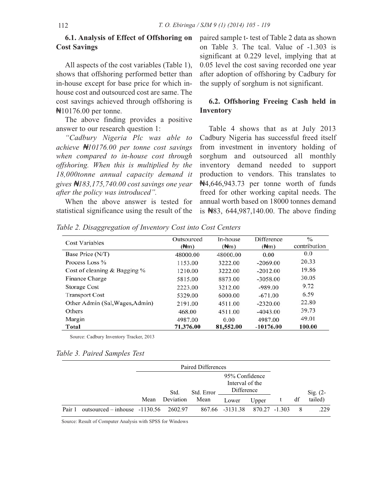### **6.1. Analysis of Effect of Offshoring on Cost Savings**

All aspects of the cost variables (Table 1), shows that offshoring performed better than in-house except for base price for which inhouse cost and outsourced cost are same. The cost savings achieved through offshoring is ₦10176.00 per tonne.

The above finding provides a positive answer to our research question 1:

*"Cadbury Nigeria Plc was able to achieve* ₦*10176.00 per tonne cost savings when compared to in-house cost through offshoring. When this is multiplied by the 18,000tonne annual capacity demand it gives* ₦*183,175,740.00 cost savings one year after the policy was introduced".*

When the above answer is tested for statistical significance using the result of the paired sample t- test of Table 2 data as shown on Table 3. The tcal. Value of -1.303 is significant at 0.229 level, implying that at 0.05 level the cost saving recorded one year after adoption of offshoring by Cadbury for the supply of sorghum is not significant.

### **6.2. Offshoring Freeing Cash held in Inventory**

Table 4 shows that as at July 2013 Cadbury Nigeria has successful freed itself from investment in inventory holding of sorghum and outsourced all monthly inventory demand needed to support production to vendors. This translates to ₦4,646,943.73 per tonne worth of funds freed for other working capital needs. The annual worth based on 18000 tonnes demand is ₦83, 644,987,140.00. The above finding

*Table 2. Disaggregation of Inventory Cost into Cost Centers*

| <b>Cost Variables</b>           | Outsourced<br>$(\frac{A}{m})$ | In-house<br>$(\frac{A}{m})$ | <b>Difference</b><br>$(\frac{A}{m})$ | $\frac{0}{0}$<br>contribution |
|---------------------------------|-------------------------------|-----------------------------|--------------------------------------|-------------------------------|
| Base Price (N/T)                | 48000.00                      | 48000.00                    | 0.00                                 | 0.0                           |
| Process Loss %                  | 1153.00                       | 3222.00                     | $-2069.00$                           | 20.33                         |
| Cost of cleaning & Bagging %    | 1210.00                       | 3222.00                     | $-2012.00$                           | 19.86                         |
| Finance Charge                  | 5815.00                       | 8873.00                     | $-3058.00$                           | 30.05                         |
| <b>Storage Cost</b>             | 2223.00                       | 3212.00                     | $-989.00$                            | 9.72                          |
| <b>Transport Cost</b>           | 5329.00                       | 6000.00                     | $-671.00$                            | 6.59                          |
| Other Admin (Sal, Wages, Admin) | 2191.00                       | 4511.00                     | $-2320.00$                           | 22.80                         |
| Others                          | 468.00                        | 4511.00                     | $-4043.00$                           | 39.73                         |
| Margin                          | 4987.00                       | 0.00                        | 4987.00                              | 49.01                         |
| Total                           | 71,376.00                     | 81,552.00                   | $-10176.00$                          | 100.00                        |

Source: Cadbury Inventory Tracker, 2013

|  |  |  | Table 3. Paired Samples Test |  |
|--|--|--|------------------------------|--|
|--|--|--|------------------------------|--|

|        |                                         | Paired Differences |           |            |                                                 |               |  |    |            |
|--------|-----------------------------------------|--------------------|-----------|------------|-------------------------------------------------|---------------|--|----|------------|
|        |                                         |                    | Std.      | Std. Error | 95% Confidence<br>Interval of the<br>Difference |               |  |    | Sig. $(2-$ |
|        |                                         | Mean               | Deviation | Mean       | Lower                                           | Upper         |  | df | tailed)    |
| Pair 1 | outsourced – inhouse $-1130.56$ 2602.97 |                    |           |            | 867.66 -3131.38                                 | 870.27 -1.303 |  |    | .229       |

Source: Result of Computer Analysis with SPSS for Windows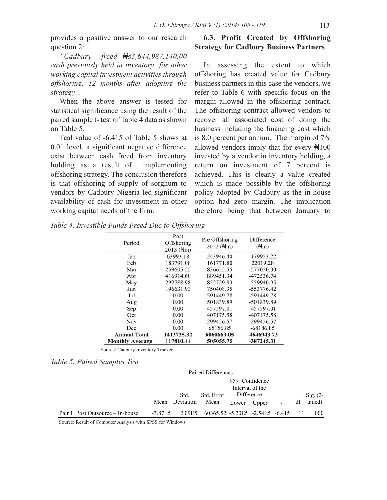provides a positive answer to our research question 2:

*"Cadbury freed* ₦*83,644,987,140.00 cash previously held in inventory for other working capital investment activities through offshoring, 12 months after adopting the strategy".*

When the above answer is tested for statistical significance using the result of the paired sample t- test of Table 4 data as shown on Table 5.

Tcal value of -6.415 of Table 5 shows at 0.01 level, a significant negative difference exist between cash freed from inventory holding as a result of implementing offshoring strategy. The conclusion therefore is that offshoring of supply of sorghum to vendors by Cadbury Nigeria led significant availability of cash for investment in other working capital needs of the firm.

## **6.3. Profit Created by Offshoring Strategy for Cadbury Business Partners**

In assessing the extent to which offshoring has created value for Cadbury business partners in this case the vendors, we refer to Table 6 with specific focus on the margin allowed in the offshoring contract. The offshoring contract allowed vendors to recover all associated cost of doing the business including the financing cost which is 8.0 percent per annum. The margin of 7% allowed vendors imply that for every  $\frac{4100}{100}$ invested by a vendor in inventory holding, a return on investment of 7 percent is achieved. This is clearly a value created which is made possible by the offshoring policy adopted by Cadbury as the in-house option had zero margin. The implication therefore being that between January to

*Table 4. Investible Funds Freed Due to Offshoring*

| Period                 | Post<br>Offshoring<br>$2013$ ( $\frac{4}{3}$ m) | Pre Offshoring<br>$2012$ ( $H/m$ ) | Difference<br>$(\frac{A}{m})$ |
|------------------------|-------------------------------------------------|------------------------------------|-------------------------------|
| Jan                    | 63993.18                                        | 243946.40                          | $-179953.22$                  |
| Feb                    | 183791.08                                       | 161771.80                          | 22019.28                      |
| Mar                    | 259605.55                                       | 836655.55                          | -577050.00                    |
| Apr                    | 416914.60                                       | 889451.34                          | -472536.74                    |
| May                    | 292788.98                                       | 852729.93                          | -559940.95                    |
| Jun                    | 196631.93                                       | 750408.35                          | $-553776.42$                  |
| Jul                    | 0.00                                            | 591449.78                          | -591449.78                    |
| Aug                    | 0.00                                            | 501839.89                          | -501839.89                    |
| Sep                    | 0.00                                            | 457597.01                          | -457597.01                    |
| Oct                    | 0.00                                            | 407175.58                          | $-407175.58$                  |
| Nov                    | 0.00                                            | 299456.57                          | $-299456.57$                  |
| Dec                    | 0.00                                            | 68186.85                           | $-68186.85$                   |
| <b>Annual Total</b>    | 1413725.32                                      | 6060669.05                         | -4646943.73                   |
| <b>Monthly Average</b> | 117810.44                                       | 505055.75                          | $-387245.31$                  |

Source: Cadbury Inventory Tracker

### *Table 5. Paired Samples Test*

|                                  | Paired Differences |           |                                 |                                                 |       |  |                     |         |
|----------------------------------|--------------------|-----------|---------------------------------|-------------------------------------------------|-------|--|---------------------|---------|
|                                  |                    | Std.      | Std. Error                      | 95% Confidence<br>Interval of the<br>Difference |       |  | $\mathrm{Sig.}$ (2- |         |
|                                  | Mean               | Deviation | Mean                            | Lower                                           | Upper |  | df                  | tailed) |
| Pair 1 Post Outsource – In-house | $-3.87E5$          | 2.09E5    | 60365.52 -5.20E5 -2.54E5 -6.415 |                                                 |       |  |                     | .000    |

Source: Result of Computer Analysis with SPSS for Windows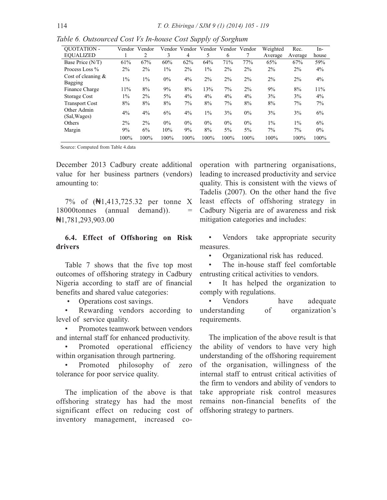| <b>OUOTATION -</b>               | Vendor | Vendor | Vendor | Vendor | Vendor | Vendor Vendor |       | Weighted | Rec.    | In-   |
|----------------------------------|--------|--------|--------|--------|--------|---------------|-------|----------|---------|-------|
| <b>EOUALIZED</b>                 |        | 2      | 3      | 4      | 5      | 6             |       | Average  | Average | house |
| Base Price (N/T)                 | 61%    | 67%    | 60%    | 62%    | 64%    | 71%           | 77%   | 65%      | 67%     | 59%   |
| Process Loss %                   | $2\%$  | $2\%$  | $1\%$  | $2\%$  | $1\%$  | $2\%$         | $2\%$ | $2\%$    | $2\%$   | $4\%$ |
| Cost of cleaning $\&$<br>Bagging | $1\%$  | $1\%$  | $0\%$  | $4\%$  | $2\%$  | $2\%$         | $2\%$ | $2\%$    | $2\%$   | 4%    |
| Finance Charge                   | 11%    | 8%     | 9%     | 8%     | 13%    | 7%            | $2\%$ | 9%       | 8%      | 11%   |
| Storage Cost                     | $1\%$  | $2\%$  | $5\%$  | $4\%$  | $4\%$  | $4\%$         | $4\%$ | 3%       | 3%      | $4\%$ |
| <b>Transport Cost</b>            | 8%     | 8%     | 8%     | 7%     | 8%     | 7%            | 8%    | 8%       | $7\%$   | 7%    |
| Other Admin<br>(Sal, Wages)      | $4\%$  | 4%     | 6%     | $4\%$  | $1\%$  | 3%            | $0\%$ | $3\%$    | 3%      | 6%    |
| Others                           | $2\%$  | $2\%$  | $0\%$  | $0\%$  | $0\%$  | $0\%$         | $0\%$ | $1\%$    | $1\%$   | 6%    |
| Margin                           | 9%     | 6%     | 10%    | 9%     | 8%     | $5\%$         | $5\%$ | $7\%$    | 7%      | $0\%$ |
|                                  | 100%   | 100%   | 100%   | 100%   | 100%   | 100%          | 100%  | 100%     | 100%    | 100%  |

*Table 6. Outsourced Cost Vs In-house Cost Supply of Sorghum*

Source: Computed from Table 4.data

December 2013 Cadbury create additional value for her business partners (vendors) amounting to:

7% of (₦1,413,725.32 per tonne X 18000tonnes (annual demand)). ₦1,781,293,903.00

### **6.4. Effect of Offshoring on Risk drivers**

Table 7 shows that the five top most outcomes of offshoring strategy in Cadbury Nigeria according to staff are of financial benefits and shared value categories:

• Operations cost savings.

Rewarding vendors according to level of service quality.

Promotes teamwork between vendors and internal staff for enhanced productivity.

Promoted operational efficiency within organisation through partnering.

• Promoted philosophy of zero tolerance for poor service quality.

The implication of the above is that offshoring strategy has had the most significant effect on reducing cost of inventory management, increased cooperation with partnering organisations, leading to increased productivity and service quality. This is consistent with the views of Tadelis (2007). On the other hand the five least effects of offshoring strategy in Cadbury Nigeria are of awareness and risk mitigation categories and includes:

Vendors take appropriate security measures.

• Organizational risk has reduced.

The in-house staff feel comfortable entrusting critical activities to vendors.

It has helped the organization to comply with regulations.

Vendors have adequate understanding of organization's requirements.

The implication of the above result is that the ability of vendors to have very high understanding of the offshoring requirement of the organisation, willingness of the internal staff to entrust critical activities of the firm to vendors and ability of vendors to take appropriate risk control measures remains non-financial benefits of the offshoring strategy to partners.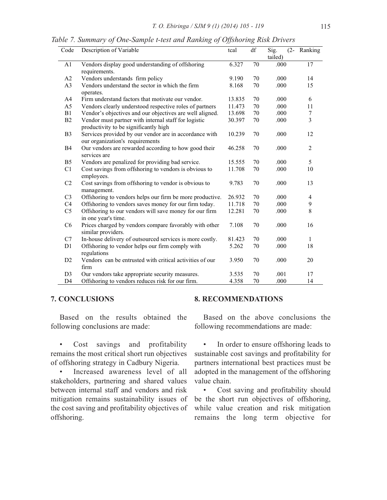| Table 7. Summary of One-Sample t-test and Ranking of Offshoring Risk Drivers |  |  |  |
|------------------------------------------------------------------------------|--|--|--|
|                                                                              |  |  |  |

| Code           | Description of Variable                                                                       | tcal   | df     | $(2 -$<br>Sig.<br>tailed) | Ranking        |
|----------------|-----------------------------------------------------------------------------------------------|--------|--------|---------------------------|----------------|
| A1             | Vendors display good understanding of offshoring<br>requirements.                             | 6.327  | 70     | .000                      | 17             |
| A2             | Vendors understands firm policy                                                               | 9.190  | 70     | .000                      | 14             |
| A <sub>3</sub> | Vendors understand the sector in which the firm<br>operates.                                  | 8.168  | 70     | .000                      | 15             |
| A4             | Firm understand factors that motivate our vendor.                                             | 13.835 | 70     | .000                      | 6              |
| A5             | Vendors clearly understood respective roles of partners                                       | 11.473 | 70     | .000                      | 11             |
| B1             | Vendor's objectives and our objectives are well aligned.                                      | 13.698 | $70\,$ | .000                      | 7              |
| B2             | Vendor must partner with internal staff for logistic<br>productivity to be significantly high | 30.397 | 70     | .000                      | $\overline{3}$ |
| B <sub>3</sub> | Services provided by our vendor are in accordance with<br>our organization's requirements     | 10.239 | 70     | .000                      | 12             |
| <b>B4</b>      | Our vendors are rewarded according to how good their<br>services are                          | 46.258 | 70     | .000                      | 2              |
| B <sub>5</sub> | Vendors are penalized for providing bad service.                                              | 15.555 | 70     | .000                      | 5              |
| C1             | Cost savings from offshoring to vendors is obvious to<br>employees.                           | 11.708 | 70     | .000                      | 10             |
| C <sub>2</sub> | Cost savings from offshoring to vendor is obvious to<br>management.                           | 9.783  | 70     | .000                      | 13             |
| C <sub>3</sub> | Offshoring to vendors helps our firm be more productive.                                      | 26.932 | 70     | .000                      | 4              |
| C4             | Offshoring to vendors saves money for our firm today.                                         | 11.718 | 70     | .000                      | 9              |
| C <sub>5</sub> | Offshoring to our vendors will save money for our firm<br>in one year's time.                 | 12.281 | 70     | .000                      | 8              |
| C <sub>6</sub> | Prices charged by vendors compare favorably with other<br>similar providers.                  | 7.108  | 70     | .000                      | 16             |
| C7             | In-house delivery of outsourced services is more costly.                                      | 81.423 | 70     | .000                      | $\mathbf{1}$   |
| D1             | Offshoring to vendor helps our firm comply with<br>regulations                                | 5.262  | 70     | .000                      | 18             |
| D <sub>2</sub> | Vendors can be entrusted with critical activities of our<br>firm                              | 3.950  | 70     | .000                      | 20             |
| D <sub>3</sub> | Our vendors take appropriate security measures.                                               | 3.535  | 70     | .001                      | 17             |
| D4             | Offshoring to vendors reduces risk for our firm.                                              | 4.358  | 70     | .000                      | 14             |

### **7. CONCLUSIONS**

Based on the results obtained the following conclusions are made:

• Cost savings and profitability remains the most critical short run objectives of offshoring strategy in Cadbury Nigeria.

Increased awareness level of all stakeholders, partnering and shared values between internal staff and vendors and risk mitigation remains sustainability issues of the cost saving and profitability objectives of offshoring.

### **8. RECOMMENDATIONS**

Based on the above conclusions the following recommendations are made:

• In order to ensure offshoring leads to sustainable cost savings and profitability for partners international best practices must be adopted in the management of the offshoring value chain.

Cost saving and profitability should be the short run objectives of offshoring, while value creation and risk mitigation remains the long term objective for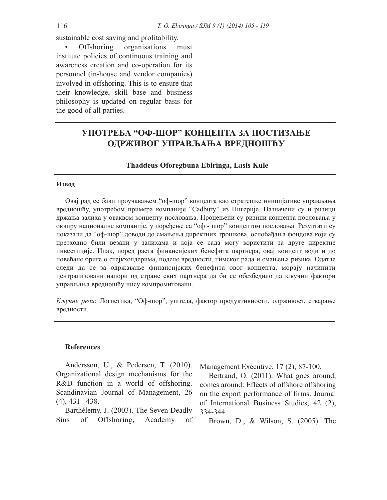sustainable cost saving and profitability.

Offshoring organisations must institute policies of continuous training and awareness creation and co-operation for its personnel (in-house and vendor companies) involved in offshoring. This is to ensure that their knowledge, skill base and business philosophy is updated on regular basis for the good of all parties.

# **УПОТРЕБА "ОФ-ШОР" КОНЦЕПТА ЗА ПОСТИЗАЊЕ ОДРЖИВОГ УПРАВЉАЊА ВРЕДНОШЋУ**

**Thaddeus Oforegbuna Ebiringa, Lasis Kule**

#### **Извод**

Овај рад се бави проучавањем "оф-шор" концепта као стратешке иницијативе управљања вредношћу, употребом примера компаније "Cadbury" из Нигерије. Назначени су и ризици држања залиха у оваквом концепту пословања. Процењени су ризици концепта пословања у оквиру националне компаније, у поређење са "оф - шор" концептом пословања. Резултати су показали да "оф-шор" доводи до смањења директних трошкова, ослобађања фондова који су претходно били везани у залихама и која се сада могу користити за друге директне инвестиције. Ипак, поред раста финансијских бенефита партнера, овај концепт води и до повећане бриге о стејкхолдерима, поделе вредности, тимског рада и смањења ризика. Одатле следи да се за одржавање финансијских бенефита овог концепта, морају начинити централизовани напори од стране свих партнера да би се обезбедило да кључни фактори управљања вредношћу нису компромитовани.

*Кључне речи*: Логистика, "Оф-шор", уштеда, фактор продуктивности, одрживост, стварање вредности.

### **References**

Andersson, U., & Pedersen, T. (2010). Organizational design mechanisms for the R&D function in a world of offshoring. Scandinavian Journal of Management, 26  $(4)$ ,  $431 - 438$ .

Barthélemy, J. (2003). The Seven Deadly Sins of Offshoring, Academy of Management Executive, 17 (2), 87-100.

Bertrand, O. (2011). What goes around, comes around: Effects of offshore offshoring on the export performance of firms. Journal of International Business Studies, 42 (2), 334-344.

Brown, D., & Wilson, S. (2005). The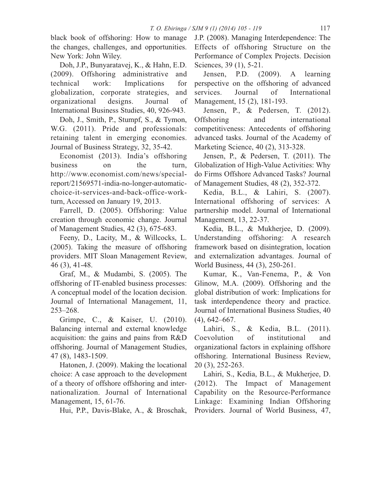black book of offshoring: How to manage the changes, challenges, and opportunities. New York: John Wiley.

Doh, J.P., Bunyaratavej, K., & Hahn, E.D. (2009). Offshoring administrative and technical work: Implications for globalization, corporate strategies, and organizational designs. Journal of International Business Studies, 40, 926-943.

Doh, J., Smith, P., Stumpf, S., & Tymon, W.G. (2011). Pride and professionals: retaining talent in emerging economies. Journal of Business Strategy, 32, 35-42.

Economist (2013). India's offshoring business on the turn, http://www.economist.com/news/specialreport/21569571-india-no-longer-automaticchoice-it-services-and-back-office-workturn, Accessed on January 19, 2013.

Farrell, D. (2005). Offshoring: Value creation through economic change. Journal of Management Studies, 42 (3), 675-683.

Feeny, D., Lacity, M., & Willcocks, L. (2005). Taking the measure of offshoring providers. MIT Sloan Management Review, 46 (3), 41-48.

Graf, M., & Mudambi, S. (2005). The offshoring of IT-enabled business processes: A conceptual model of the location decision. Journal of International Management, 11, 253–268.

Grimpe, C., & Kaiser, U. (2010). Balancing internal and external knowledge acquisition: the gains and pains from R&D offshoring. Journal of Management Studies, 47 (8), 1483-1509.

Hatonen, J. (2009). Making the locational choice: A case approach to the development of a theory of offshore offshoring and internationalization. Journal of International Management, 15, 61-76.

Hui, P.P., Davis-Blake, A., & Broschak,

J.P. (2008). Managing Interdependence: The Effects of offshoring Structure on the Performance of Complex Projects. Decision Sciences, 39 (1), 5-21.

Jensen, P.D. (2009). A learning perspective on the offshoring of advanced services. Journal of International Management, 15 (2), 181-193.

Jensen, P., & Pedersen, T. (2012). Offshoring and international competitiveness: Antecedents of offshoring advanced tasks. Journal of the Academy of Marketing Science, 40 (2), 313-328.

Jensen, P., & Pedersen, T. (2011). The Globalization of High-Value Activities: Why do Firms Offshore Advanced Tasks? Journal of Management Studies, 48 (2), 352-372.

Kedia, B.L., & Lahiri, S. (2007). International offshoring of services: A partnership model. Journal of International Management, 13, 22-37.

Kedia, B.L., & Mukherjee, D. (2009). Understanding offshoring: A research framework based on disintegration, location and externalization advantages. Journal of World Business, 44 (3), 250-261.

Kumar, K., Van-Fenema, P., & Von Glinow, M.A. (2009). Offshoring and the global distribution of work: Implications for task interdependence theory and practice. Journal of International Business Studies, 40 (4), 642–667.

Lahiri, S., & Kedia, B.L. (2011). Coevolution of institutional and organizational factors in explaining offshore offshoring. International Business Review, 20 (3), 252-263.

Lahiri, S., Kedia, B.L., & Mukherjee, D. (2012). The Impact of Management Capability on the Resource-Performance Linkage: Examining Indian Offshoring Providers. Journal of World Business, 47,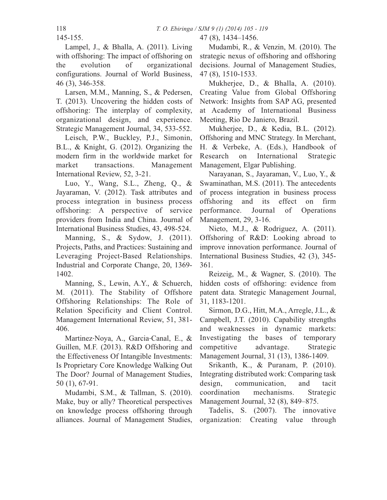47 (8), 1434–1456.

145-155.

Lampel, J., & Bhalla, A. (2011). Living with offshoring: The impact of offshoring on the evolution of organizational configurations. Journal of World Business, 46 (3), 346-358.

Larsen, M.M., Manning, S., & Pedersen, T. (2013). Uncovering the hidden costs of offshoring: The interplay of complexity, organizational design, and experience. Strategic Management Journal, 34, 533-552.

Leisch, P.W., Buckley, P.J., Simonin, B.L., & Knight, G. (2012). Organizing the modern firm in the worldwide market for market transactions. Management International Review, 52, 3-21.

Luo, Y., Wang, S.L., Zheng, Q., & Jayaraman, V. (2012). Task attributes and process integration in business process offshoring: A perspective of service providers from India and China. Journal of International Business Studies, 43, 498-524.

Manning, S., & Sydow, J. (2011). Projects, Paths, and Practices: Sustaining and Leveraging Project-Based Relationships. Industrial and Corporate Change, 20, 1369- 1402.

Manning, S., Lewin, A.Y., & Schuerch, M. (2011). The Stability of Offshore Offshoring Relationships: The Role of Relation Specificity and Client Control. Management International Review, 51, 381- 406.

Martinez-Noya, A., Garcia-Canal, E., & Guillen, M.F. (2013). R&D Offshoring and the Effectiveness Of Intangible Investments: Is Proprietary Core Knowledge Walking Out The Door? Journal of Management Studies, 50 (1), 67-91.

Mudambi, S.M., & Tallman, S. (2010). Make, buy or ally? Theoretical perspectives on knowledge process offshoring through alliances. Journal of Management Studies,

Mudambi, R., & Venzin, M. (2010). The strategic nexus of offshoring and offshoring decisions. Journal of Management Studies, 47 (8), 1510-1533.

Mukherjee, D., & Bhalla, A. (2010). Creating Value from Global Offshoring Network: Insights from SAP AG, presented at Academy of International Business Meeting, Rio De Janiero, Brazil.

Mukherjee, D., & Kedia, B.L. (2012). Offshoring and MNC Strategy. In Merchant, H. & Verbeke, A. (Eds.), Handbook of Research on International Strategic Management, Elgar Publishing.

Narayanan, S., Jayaraman, V., Luo, Y., & Swaminathan, M.S. (2011). The antecedents of process integration in business process offshoring and its effect on firm performance. Journal of Operations Management, 29, 3-16.

Nieto, M.J., & Rodriguez, A. (2011). Offshoring of R&D: Looking abroad to improve innovation performance. Journal of International Business Studies, 42 (3), 345- 361.

Reizeig, M., & Wagner, S. (2010). The hidden costs of offshoring: evidence from patent data. Strategic Management Journal, 31, 1183-1201.

Sirmon, D.G., Hitt, M.A., Arregle, J.L., & Campbell, J.T. (2010). Capability strengths and weaknesses in dynamic markets: Investigating the bases of temporary competitive advantage. Strategic Management Journal, 31 (13), 1386-1409.

Srikanth, K., & Puranam, P. (2010). Integrating distributed work: Comparing task design, communication, and tacit coordination mechanisms. Strategic Management Journal, 32 (8), 849–875.

Tadelis, S. (2007). The innovative organization: Creating value through